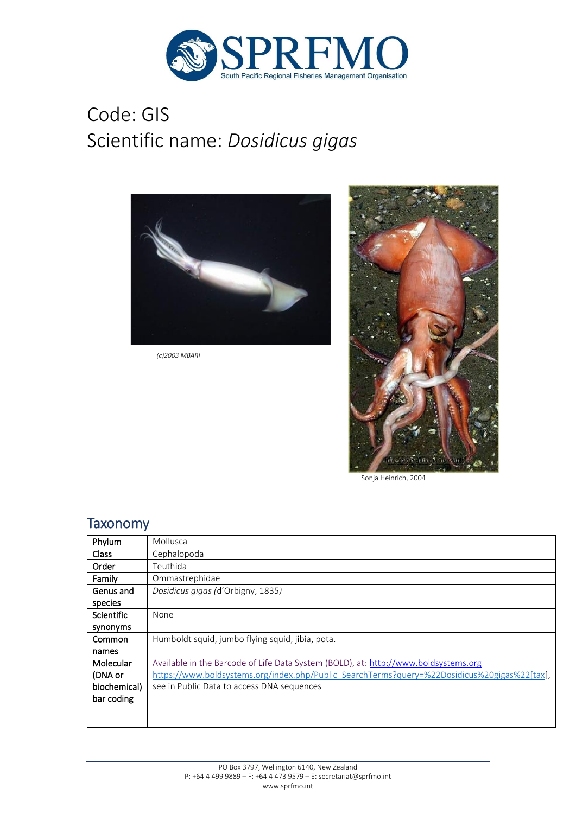

# Code: GIS Scientific name: *Dosidicus gigas*



*(c)2003 MBARI* 



Sonja Heinrich, 2004

### **Taxonomy**

| Phylum       | Mollusca                                                                                     |
|--------------|----------------------------------------------------------------------------------------------|
| <b>Class</b> | Cephalopoda                                                                                  |
| Order        | Teuthida                                                                                     |
| Family       | Ommastrephidae                                                                               |
| Genus and    | Dosidicus gigas (d'Orbigny, 1835)                                                            |
| species      |                                                                                              |
| Scientific   | None                                                                                         |
| synonyms     |                                                                                              |
| Common       | Humboldt squid, jumbo flying squid, jibia, pota.                                             |
| names        |                                                                                              |
| Molecular    | Available in the Barcode of Life Data System (BOLD), at: http://www.boldsystems.org          |
| (DNA or      | https://www.boldsystems.org/index.php/Public_SearchTerms?query=%22Dosidicus%20gigas%22[tax], |
| biochemical) | see in Public Data to access DNA sequences                                                   |
| bar coding   |                                                                                              |
|              |                                                                                              |
|              |                                                                                              |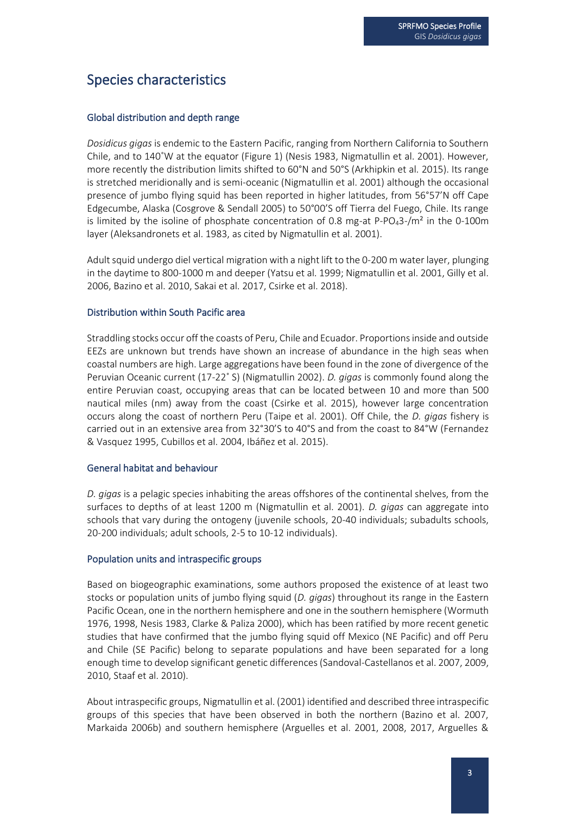# Species characteristics

#### Global distribution and depth range

*Dosidicus gigas* is endemic to the Eastern Pacific, ranging from Northern California to Southern Chile, and to 140˚W at the equator (Figure 1) (Nesis 1983, Nigmatullin et al. 2001). However, more recently the distribution limits shifted to 60°N and 50°S (Arkhipkin et al. 2015). Its range is stretched meridionally and is semi-oceanic (Nigmatullin et al. 2001) although the occasional presence of jumbo flying squid has been reported in higher latitudes, from 56°57'N off Cape Edgecumbe, Alaska (Cosgrove & Sendall 2005) to 50°00'S off Tierra del Fuego, Chile. Its range is limited by the isoline of phosphate concentration of 0.8 mg-at P-PO43-/m² in the 0-100m layer (Aleksandronets et al. 1983, as cited by Nigmatullin et al. 2001).

Adult squid undergo diel vertical migration with a night lift to the 0-200 m water layer, plunging in the daytime to 800-1000 m and deeper (Yatsu et al. 1999; Nigmatullin et al. 2001, Gilly et al. 2006, Bazino et al. 2010, Sakai et al. 2017, Csirke et al. 2018).

#### Distribution within South Pacific area

Straddling stocks occur off the coasts of Peru, Chile and Ecuador. Proportions inside and outside EEZs are unknown but trends have shown an increase of abundance in the high seas when coastal numbers are high. Large aggregations have been found in the zone of divergence of the Peruvian Oceanic current (17-22˚ S) (Nigmatullin 2002). *D. gigas* is commonly found along the entire Peruvian coast, occupying areas that can be located between 10 and more than 500 nautical miles (nm) away from the coast (Csirke et al. 2015), however large concentration occurs along the coast of northern Peru (Taipe et al. 2001). Off Chile, the *D. gigas* fishery is carried out in an extensive area from 32°30'S to 40°S and from the coast to 84°W (Fernandez & Vasquez 1995, Cubillos et al. 2004, Ibáñez et al. 2015).

#### General habitat and behaviour

*D. gigas* is a pelagic species inhabiting the areas offshores of the continental shelves, from the surfaces to depths of at least 1200 m (Nigmatullin et al. 2001). *D. gigas* can aggregate into schools that vary during the ontogeny (juvenile schools, 20-40 individuals; subadults schools, 20-200 individuals; adult schools, 2-5 to 10-12 individuals).

#### Population units and intraspecific groups

Based on biogeographic examinations, some authors proposed the existence of at least two stocks or population units of jumbo flying squid (*D. gigas*) throughout its range in the Eastern Pacific Ocean, one in the northern hemisphere and one in the southern hemisphere (Wormuth 1976, 1998, Nesis 1983, Clarke & Paliza 2000), which has been ratified by more recent genetic studies that have confirmed that the jumbo flying squid off Mexico (NE Pacific) and off Peru and Chile (SE Pacific) belong to separate populations and have been separated for a long enough time to develop significant genetic differences (Sandoval-Castellanos et al. 2007, 2009, 2010, Staaf et al. 2010).

About intraspecific groups, Nigmatullin et al. (2001) identified and described three intraspecific groups of this species that have been observed in both the northern (Bazino et al. 2007, Markaida 2006b) and southern hemisphere (Arguelles et al. 2001, 2008, 2017, Arguelles &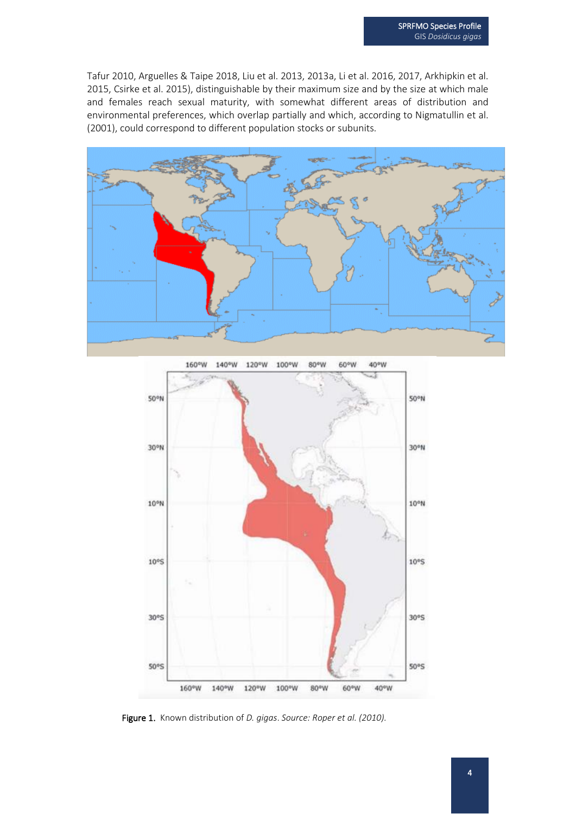Tafur 2010, Arguelles & Taipe 2018, Liu et al. 2013, 2013a, Li et al. 2016, 2017, Arkhipkin et al. 2015, Csirke et al. 2015), distinguishable by their maximum size and by the size at which male and females reach sexual maturity, with somewhat different areas of distribution and environmental preferences, which overlap partially and which, according to Nigmatullin et al. (2001), could correspond to different population stocks or subunits.





Figure 1. Known distribution of *D. gigas*. *Source: Roper et al. (2010).*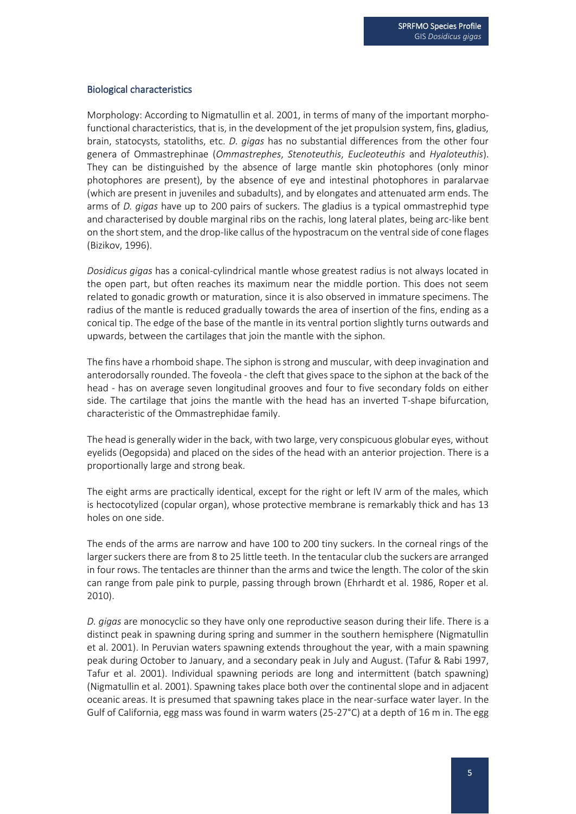#### Biological characteristics

Morphology: According to Nigmatullin et al. 2001, in terms of many of the important morphofunctional characteristics, that is, in the development of the jet propulsion system, fins, gladius, brain, statocysts, statoliths, etc. *D. gigas* has no substantial differences from the other four genera of Ommastrephinae (*Ommastrephes*, *Stenoteuthis*, *Eucleoteuthis* and *Hyaloteuthis*). They can be distinguished by the absence of large mantle skin photophores (only minor photophores are present), by the absence of eye and intestinal photophores in paralarvae (which are present in juveniles and subadults), and by elongates and attenuated arm ends. The arms of *D. gigas* have up to 200 pairs of suckers. The gladius is a typical ommastrephid type and characterised by double marginal ribs on the rachis, long lateral plates, being arc-like bent on the short stem, and the drop-like callus of the hypostracum on the ventral side of cone flages (Bizikov, 1996).

*Dosidicus gigas* has a conical-cylindrical mantle whose greatest radius is not always located in the open part, but often reaches its maximum near the middle portion. This does not seem related to gonadic growth or maturation, since it is also observed in immature specimens. The radius of the mantle is reduced gradually towards the area of insertion of the fins, ending as a conical tip. The edge of the base of the mantle in its ventral portion slightly turns outwards and upwards, between the cartilages that join the mantle with the siphon.

The fins have a rhomboid shape. The siphon is strong and muscular, with deep invagination and anterodorsally rounded. The foveola - the cleft that gives space to the siphon at the back of the head - has on average seven longitudinal grooves and four to five secondary folds on either side. The cartilage that joins the mantle with the head has an inverted T-shape bifurcation, characteristic of the Ommastrephidae family.

The head is generally wider in the back, with two large, very conspicuous globular eyes, without eyelids (Oegopsida) and placed on the sides of the head with an anterior projection. There is a proportionally large and strong beak.

The eight arms are practically identical, except for the right or left IV arm of the males, which is hectocotylized (copular organ), whose protective membrane is remarkably thick and has 13 holes on one side.

The ends of the arms are narrow and have 100 to 200 tiny suckers. In the corneal rings of the larger suckers there are from 8 to 25 little teeth. In the tentacular club the suckers are arranged in four rows. The tentacles are thinner than the arms and twice the length. The color of the skin can range from pale pink to purple, passing through brown (Ehrhardt et al. 1986, Roper et al. 2010).

*D. gigas* are monocyclic so they have only one reproductive season during their life. There is a distinct peak in spawning during spring and summer in the southern hemisphere (Nigmatullin et al. 2001). In Peruvian waters spawning extends throughout the year, with a main spawning peak during October to January, and a secondary peak in July and August. (Tafur & Rabi 1997, Tafur et al. 2001). Individual spawning periods are long and intermittent (batch spawning) (Nigmatullin et al. 2001). Spawning takes place both over the continental slope and in adjacent oceanic areas. It is presumed that spawning takes place in the near-surface water layer. In the Gulf of California, egg mass was found in warm waters (25-27°C) at a depth of 16 m in. The egg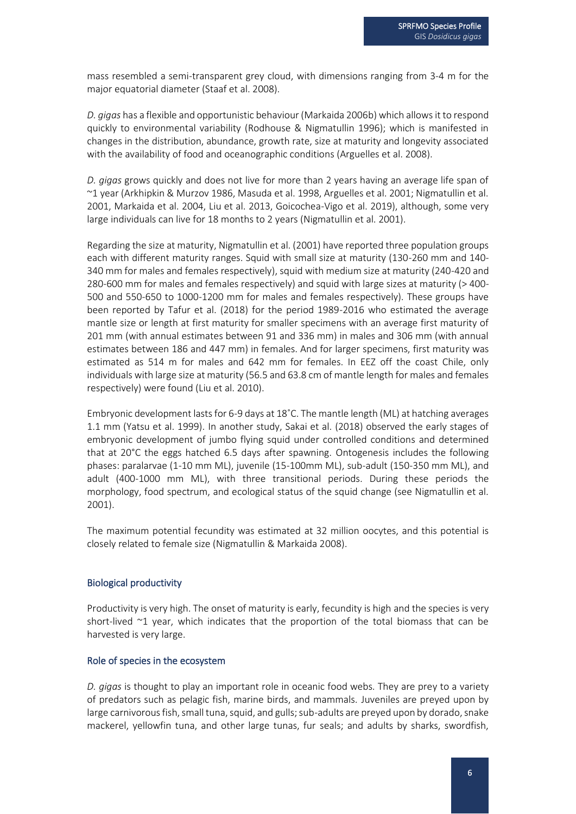mass resembled a semi-transparent grey cloud, with dimensions ranging from 3-4 m for the major equatorial diameter (Staaf et al. 2008).

*D. gigas* has a flexible and opportunistic behaviour (Markaida 2006b) which allows it to respond quickly to environmental variability (Rodhouse & Nigmatullin 1996); which is manifested in changes in the distribution, abundance, growth rate, size at maturity and longevity associated with the availability of food and oceanographic conditions (Arguelles et al. 2008).

*D. gigas* grows quickly and does not live for more than 2 years having an average life span of ~1 year (Arkhipkin & Murzov 1986, Masuda et al. 1998, Arguelles et al. 2001; Nigmatullin et al. 2001, Markaida et al. 2004, Liu et al. 2013, Goicochea-Vigo et al. 2019), although, some very large individuals can live for 18 months to 2 years (Nigmatullin et al. 2001).

Regarding the size at maturity, Nigmatullin et al. (2001) have reported three population groups each with different maturity ranges. Squid with small size at maturity (130-260 mm and 140- 340 mm for males and females respectively), squid with medium size at maturity (240-420 and 280-600 mm for males and females respectively) and squid with large sizes at maturity (> 400- 500 and 550-650 to 1000-1200 mm for males and females respectively). These groups have been reported by Tafur et al. (2018) for the period 1989-2016 who estimated the average mantle size or length at first maturity for smaller specimens with an average first maturity of 201 mm (with annual estimates between 91 and 336 mm) in males and 306 mm (with annual estimates between 186 and 447 mm) in females. And for larger specimens, first maturity was estimated as 514 m for males and 642 mm for females. In EEZ off the coast Chile, only individuals with large size at maturity (56.5 and 63.8 cm of mantle length for males and females respectively) were found (Liu et al. 2010).

Embryonic development lasts for 6-9 days at 18˚C. The mantle length (ML) at hatching averages 1.1 mm (Yatsu et al. 1999). In another study, Sakai et al. (2018) observed the early stages of embryonic development of jumbo flying squid under controlled conditions and determined that at 20°C the eggs hatched 6.5 days after spawning. Ontogenesis includes the following phases: paralarvae (1-10 mm ML), juvenile (15-100mm ML), sub-adult (150-350 mm ML), and adult (400-1000 mm ML), with three transitional periods. During these periods the morphology, food spectrum, and ecological status of the squid change (see Nigmatullin et al. 2001).

The maximum potential fecundity was estimated at 32 million oocytes, and this potential is closely related to female size (Nigmatullin & Markaida 2008).

#### Biological productivity

Productivity is very high. The onset of maturity is early, fecundity is high and the species is very short-lived  $\sim$ 1 year, which indicates that the proportion of the total biomass that can be harvested is very large.

#### Role of species in the ecosystem

*D. gigas* is thought to play an important role in oceanic food webs. They are prey to a variety of predators such as pelagic fish, marine birds, and mammals. Juveniles are preyed upon by large carnivorous fish, small tuna, squid, and gulls; sub-adults are preyed upon by dorado, snake mackerel, yellowfin tuna, and other large tunas, fur seals; and adults by sharks, swordfish,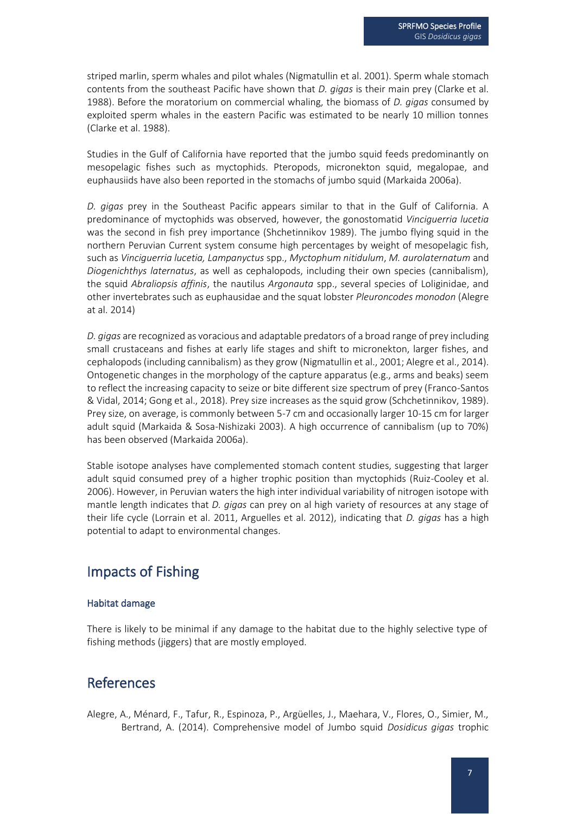striped marlin, sperm whales and pilot whales (Nigmatullin et al. 2001). Sperm whale stomach contents from the southeast Pacific have shown that *D. gigas* is their main prey (Clarke et al. 1988). Before the moratorium on commercial whaling, the biomass of *D. gigas* consumed by exploited sperm whales in the eastern Pacific was estimated to be nearly 10 million tonnes (Clarke et al. 1988).

Studies in the Gulf of California have reported that the jumbo squid feeds predominantly on mesopelagic fishes such as myctophids. Pteropods, micronekton squid, megalopae, and euphausiids have also been reported in the stomachs of jumbo squid (Markaida 2006a).

*D. gigas* prey in the Southeast Pacific appears similar to that in the Gulf of California. A predominance of myctophids was observed, however, the gonostomatid *Vinciguerria lucetia*  was the second in fish prey importance (Shchetinnikov 1989). The jumbo flying squid in the northern Peruvian Current system consume high percentages by weight of mesopelagic fish, such as *Vinciguerria lucetia, Lampanyctus* spp., *Myctophum nitidulum*, *M. aurolaternatum* and *Diogenichthys laternatus*, as well as cephalopods, including their own species (cannibalism), the squid *Abraliopsis affinis*, the nautilus *Argonauta* spp., several species of Loliginidae, and other invertebrates such as euphausidae and the squat lobster *Pleuroncodes monodon* (Alegre at al. 2014)

*D. gigas* are recognized as voracious and adaptable predators of a broad range of prey including small crustaceans and fishes at early life stages and shift to micronekton, larger fishes, and cephalopods (including cannibalism) as they grow (Nigmatullin et al., 2001; Alegre et al., 2014). Ontogenetic changes in the morphology of the capture apparatus (e.g., arms and beaks) seem to reflect the increasing capacity to seize or bite different size spectrum of prey (Franco-Santos & Vidal, 2014; Gong et al., 2018). Prey size increases as the squid grow (Schchetinnikov, 1989). Prey size, on average, is commonly between 5-7 cm and occasionally larger 10-15 cm for larger adult squid (Markaida & Sosa-Nishizaki 2003). A high occurrence of cannibalism (up to 70%) has been observed (Markaida 2006a).

Stable isotope analyses have complemented stomach content studies, suggesting that larger adult squid consumed prey of a higher trophic position than myctophids (Ruiz-Cooley et al. 2006). However, in Peruvian waters the high inter individual variability of nitrogen isotope with mantle length indicates that *D. gigas* can prey on al high variety of resources at any stage of their life cycle (Lorrain et al. 2011, Arguelles et al. 2012), indicating that *D. gigas* has a high potential to adapt to environmental changes.

## Impacts of Fishing

#### Habitat damage

There is likely to be minimal if any damage to the habitat due to the highly selective type of fishing methods (jiggers) that are mostly employed.

### References

Alegre, A., Ménard, F., Tafur, R., Espinoza, P., Argüelles, J., Maehara, V., Flores, O., Simier, M., Bertrand, A. (2014). Comprehensive model of Jumbo squid *Dosidicus gigas* trophic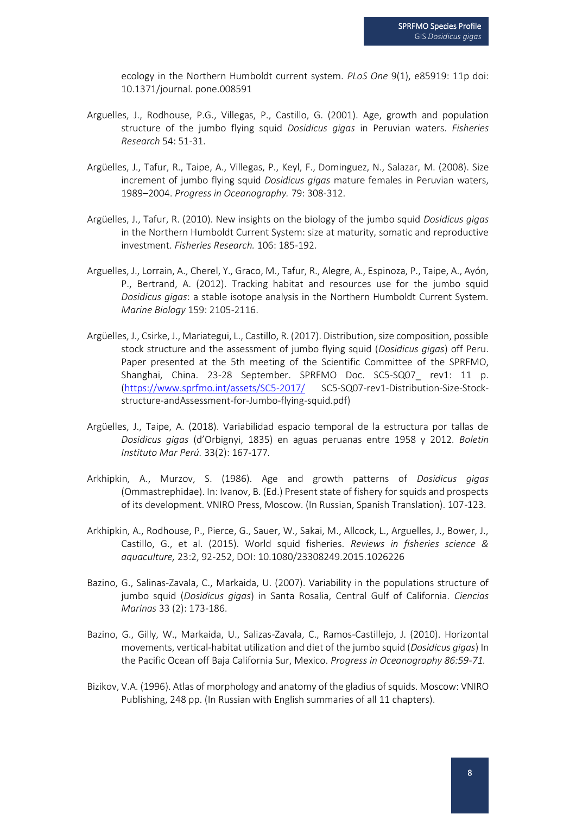ecology in the Northern Humboldt current system. *PLoS One* 9(1), e85919: 11p doi: 10.1371/journal. pone.008591

- Arguelles, J., Rodhouse, P.G., Villegas, P., Castillo, G. (2001). Age, growth and population structure of the jumbo flying squid *Dosidicus gigas* in Peruvian waters. *Fisheries Research* 54: 51-31.
- Argüelles, J., Tafur, R., Taipe, A., Villegas, P., Keyl, F., Dominguez, N., Salazar, M. (2008). Size increment of jumbo flying squid *Dosidicus gigas* mature females in Peruvian waters, 1989–2004. *Progress in Oceanography.* 79: 308-312.
- Argüelles, J., Tafur, R. (2010). New insights on the biology of the jumbo squid *Dosidicus gigas* in the Northern Humboldt Current System: size at maturity, somatic and reproductive investment. *Fisheries Research.* 106: 185-192.
- Arguelles, J., Lorrain, A., Cherel, Y., Graco, M., Tafur, R., Alegre, A., Espinoza, P., Taipe, A., Ayón, P., Bertrand, A. (2012). Tracking habitat and resources use for the jumbo squid *Dosidicus gigas*: a stable isotope analysis in the Northern Humboldt Current System. *Marine Biology* 159: 2105-2116.
- Argüelles, J., Csirke, J., Mariategui, L., Castillo, R. (2017). Distribution, size composition, possible stock structure and the assessment of jumbo flying squid (*Dosidicus gigas*) off Peru. Paper presented at the 5th meeting of the Scientific Committee of the SPRFMO, Shanghai, China. 23-28 September. SPRFMO Doc. SC5-SQ07 rev1: 11 p. [\(https://www.sprfmo.int/assets/SC5-2017/](https://www.sprfmo.int/assets/SC5-2017/) SC5-SQ07-rev1-Distribution-Size-Stockstructure-andAssessment-for-Jumbo-flying-squid.pdf)
- Argüelles, J., Taipe, A. (2018). Variabilidad espacio temporal de la estructura por tallas de *Dosidicus gigas* (d'Orbignyi, 1835) en aguas peruanas entre 1958 y 2012. *Boletin Instituto Mar Perú.* 33(2): 167-177*.*
- Arkhipkin, A., Murzov, S. (1986). Age and growth patterns of *Dosidicus gigas* (Ommastrephidae). In: Ivanov, B. (Ed.) Present state of fishery for squids and prospects of its development. VNIRO Press, Moscow. (In Russian, Spanish Translation). 107-123.
- Arkhipkin, A., Rodhouse, P., Pierce, G., Sauer, W., Sakai, M., Allcock, L., Arguelles, J., Bower, J., Castillo, G., et al. (2015). World squid fisheries. *Reviews in fisheries science & aquaculture,* 23:2, 92-252, DOI: 10.1080/23308249.2015.1026226
- Bazino, G., Salinas-Zavala, C., Markaida, U. (2007). Variability in the populations structure of jumbo squid (*Dosidicus gigas*) in Santa Rosalia, Central Gulf of California. *Ciencias Marinas* 33 (2): 173-186.
- Bazino, G., Gilly, W., Markaida, U., Salizas-Zavala, C., Ramos-Castillejo, J. (2010). Horizontal movements, vertical-habitat utilization and diet of the jumbo squid (*Dosidicus gigas*) In the Pacific Ocean off Baja California Sur, Mexico. *Progress in Oceanography 86:59-71.*
- Bizikov, V.A. (1996). Atlas of morphology and anatomy of the gladius of squids. Moscow: VNIRO Publishing, 248 pp. (In Russian with English summaries of all 11 chapters).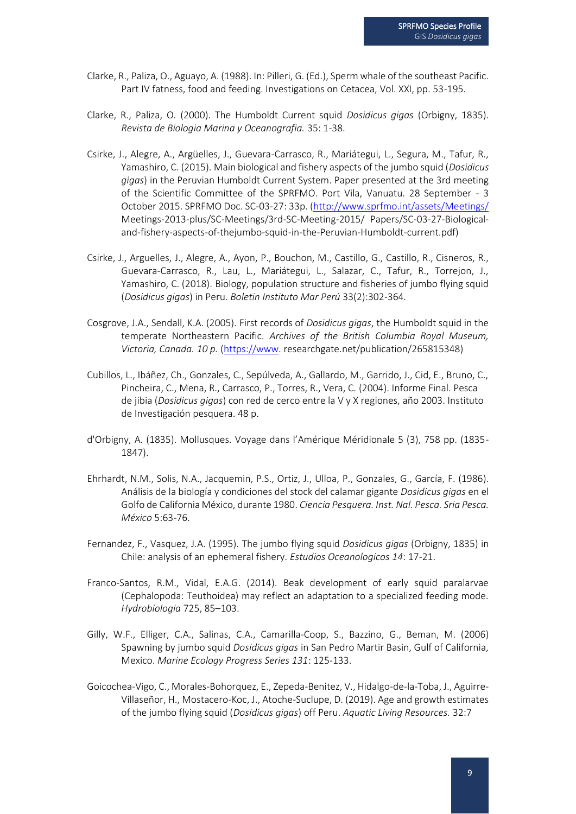- Clarke, R., Paliza, O., Aguayo, A. (1988). In: Pilleri, G. (Ed.), Sperm whale of the southeast Pacific. Part IV fatness, food and feeding. Investigations on Cetacea, Vol. XXI, pp. 53-195.
- Clarke, R., Paliza, O. (2000). The Humboldt Current squid *Dosidicus gigas* (Orbigny, 1835). *Revista de Biologia Marina y Oceanografia.* 35: 1-38.
- Csirke, J., Alegre, A., Argüelles, J., Guevara-Carrasco, R., Mariátegui, L., Segura, M., Tafur, R., Yamashiro, C. (2015). Main biological and fishery aspects of the jumbo squid (*Dosidicus gigas*) in the Peruvian Humboldt Current System. Paper presented at the 3rd meeting of the Scientific Committee of the SPRFMO. Port Vila, Vanuatu. 28 September - 3 October 2015. SPRFMO Doc. SC-03-27: 33p. [\(http://www.sprfmo.int/assets/Meetings/](http://www.sprfmo.int/assets/Meetings/) Meetings-2013-plus/SC-Meetings/3rd-SC-Meeting-2015/ Papers/SC-03-27-Biologicaland-fishery-aspects-of-thejumbo-squid-in-the-Peruvian-Humboldt-current.pdf)
- Csirke, J., Arguelles, J., Alegre, A., Ayon, P., Bouchon, M., Castillo, G., Castillo, R., Cisneros, R., Guevara-Carrasco, R., Lau, L., Mariátegui, L., Salazar, C., Tafur, R., Torrejon, J., Yamashiro, C. (2018). Biology, population structure and fisheries of jumbo flying squid (*Dosidicus gigas*) in Peru. *Boletin Instituto Mar Perú* 33(2):302-364*.*
- Cosgrove, J.A., Sendall, K.A. (2005). First records of *Dosidicus gigas*, the Humboldt squid in the temperate Northeastern Pacific. *Archives of the British Columbia Royal Museum, Victoria, Canada. 10 p.* [\(https://www.](https://www/) researchgate.net/publication/265815348)
- Cubillos, L., Ibáñez, Ch., Gonzales, C., Sepúlveda, A., Gallardo, M., Garrido, J., Cid, E., Bruno, C., Pincheira, C., Mena, R., Carrasco, P., Torres, R., Vera, C. (2004). Informe Final. Pesca de jibia (*Dosidicus gigas*) con red de cerco entre la V y X regiones, año 2003. Instituto de Investigación pesquera. 48 p.
- d'Orbigny, A. (1835). Mollusques. Voyage dans l'Amérique Méridionale 5 (3), 758 pp. (1835- 1847).
- Ehrhardt, N.M., Solis, N.A., Jacquemin, P.S., Ortiz, J., Ulloa, P., Gonzales, G., García, F. (1986). Análisis de la biología y condiciones del stock del calamar gigante *Dosidicus gigas* en el Golfo de California México, durante 1980. *Ciencia Pesquera. Inst. Nal. Pesca. Sria Pesca. México* 5:63-76.
- Fernandez, F., Vasquez, J.A. (1995). The jumbo flying squid *Dosidicus gigas* (Orbigny, 1835) in Chile: analysis of an ephemeral fishery. *Estudios Oceanologicos 14*: 17-21.
- Franco-Santos, R.M., Vidal, E.A.G. (2014). Beak development of early squid paralarvae (Cephalopoda: Teuthoidea) may reflect an adaptation to a specialized feeding mode. *Hydrobiologia* 725, 85–103.
- Gilly, W.F., Elliger, C.A., Salinas, C.A., Camarilla-Coop, S., Bazzino, G., Beman, M. (2006) Spawning by jumbo squid *Dosidicus gigas* in San Pedro Martir Basin, Gulf of California, Mexico. *Marine Ecology Progress Series 131*: 125-133.
- Goicochea-Vigo, C., Morales-Bohorquez, E., Zepeda-Benitez, V., Hidalgo-de-la-Toba, J., Aguirre-Villaseñor, H., Mostacero-Koc, J., Atoche-Suclupe, D. (2019). Age and growth estimates of the jumbo flying squid (*Dosidicus gigas*) off Peru. *Aquatic Living Resources.* 32:7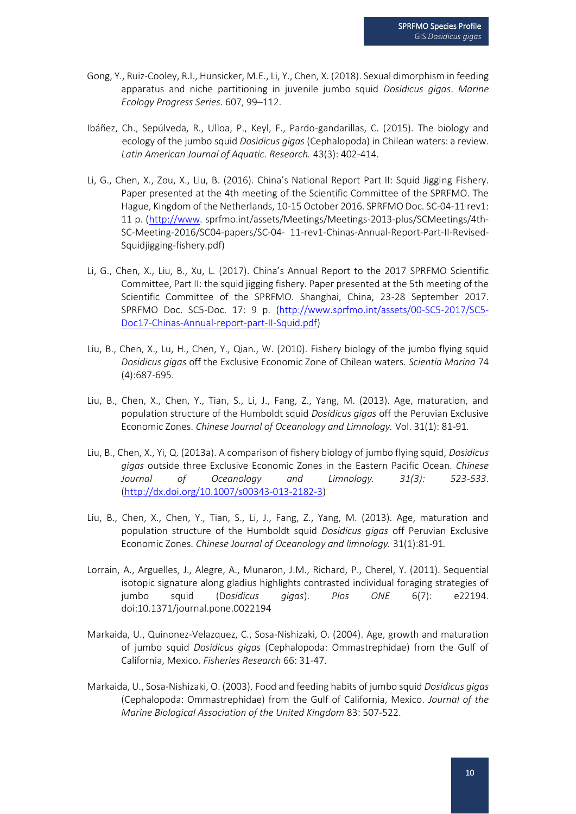- Gong, Y., Ruiz-Cooley, R.I., Hunsicker, M.E., Li, Y., Chen, X. (2018). Sexual dimorphism in feeding apparatus and niche partitioning in juvenile jumbo squid *Dosidicus gigas*. *Marine Ecology Progress Series*. 607, 99–112.
- Ibáñez, Ch., Sepúlveda, R., Ulloa, P., Keyl, F., Pardo-gandarillas, C. (2015). The biology and ecology of the jumbo squid *Dosidicus gigas* (Cephalopoda) in Chilean waters: a review. *Latin American Journal of Aquatic. Research.* 43(3): 402-414.
- Li, G., Chen, X., Zou, X., Liu, B. (2016). China's National Report Part II: Squid Jigging Fishery. Paper presented at the 4th meeting of the Scientific Committee of the SPRFMO. The Hague, Kingdom of the Netherlands, 10-15 October 2016. SPRFMO Doc. SC-04-11 rev1: 11 p. [\(http://www.](http://www/) sprfmo.int/assets/Meetings/Meetings-2013-plus/SCMeetings/4th-SC-Meeting-2016/SC04-papers/SC-04- 11-rev1-Chinas-Annual-Report-Part-II-Revised-Squidjigging-fishery.pdf)
- Li, G., Chen, X., Liu, B., Xu, L. (2017). China's Annual Report to the 2017 SPRFMO Scientific Committee, Part II: the squid jigging fishery. Paper presented at the 5th meeting of the Scientific Committee of the SPRFMO. Shanghai, China, 23-28 September 2017. SPRFMO Doc. SC5-Doc. 17: 9 p. [\(http://www.sprfmo.int/assets/00-SC5-2017/SC5-](http://www.sprfmo.int/assets/00-SC5-2017/SC5-%20Doc17-Chinas-Annual-report-part-II-Squid.pdf) [Doc17-Chinas-Annual-report-part-II-Squid.pdf\)](http://www.sprfmo.int/assets/00-SC5-2017/SC5-%20Doc17-Chinas-Annual-report-part-II-Squid.pdf)
- Liu, B., Chen, X., Lu, H., Chen, Y., Qian., W. (2010). Fishery biology of the jumbo flying squid *Dosidicus gigas* off the Exclusive Economic Zone of Chilean waters. *Scientia Marina* 74 (4):687-695.
- Liu, B., Chen, X., Chen, Y., Tian, S., Li, J., Fang, Z., Yang, M. (2013). Age, maturation, and population structure of the Humboldt squid *Dosidicus gigas* off the Peruvian Exclusive Economic Zones. *Chinese Journal of Oceanology and Limnology.* Vol. 31(1): 81-91*.*
- Liu, B., Chen, X., Yi, Q. (2013a). A comparison of fishery biology of jumbo flying squid, *Dosidicus gigas* outside three Exclusive Economic Zones in the Eastern Pacific Ocean. *Chinese Journal of Oceanology and Limnology. 31(3): 523-533*. [\(http://dx.doi.org/10.1007/s00343-013-2182-3\)](http://dx.doi.org/10.1007/s00343-013-2182-3)
- Liu, B., Chen, X., Chen, Y., Tian, S., Li, J., Fang, Z., Yang, M. (2013). Age, maturation and population structure of the Humboldt squid *Dosidicus gigas* off Peruvian Exclusive Economic Zones. *Chinese Journal of Oceanology and limnology.* 31(1):81-91*.*
- Lorrain, A., Arguelles, J., Alegre, A., Munaron, J.M., Richard, P., Cherel, Y. (2011). Sequential isotopic signature along gladius highlights contrasted individual foraging strategies of jumbo squid (D*osidicus gigas*). *Plos ONE* 6(7): e22194. doi:10.1371/journal.pone.0022194
- Markaida, U., Quinonez-Velazquez, C., Sosa-Nishizaki, O. (2004). Age, growth and maturation of jumbo squid *Dosidicus gigas* (Cephalopoda: Ommastrephidae) from the Gulf of California, Mexico. *Fisheries Research* 66: 31-47.
- Markaida, U., Sosa-Nishizaki, O. (2003). Food and feeding habits of jumbo squid *Dosidicus gigas* (Cephalopoda: Ommastrephidae) from the Gulf of California, Mexico. *Journal of the Marine Biological Association of the United Kingdom* 83: 507-522.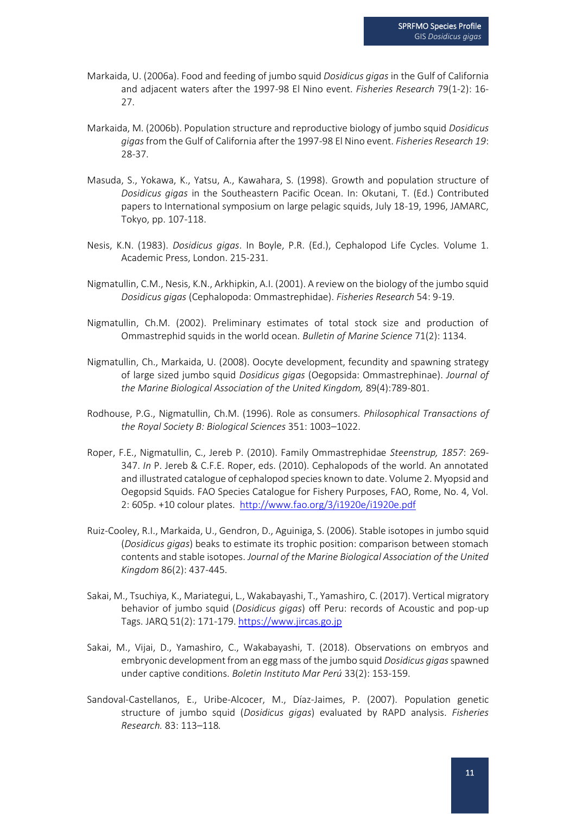- Markaida, U. (2006a). Food and feeding of jumbo squid *Dosidicus gigas* in the Gulf of California and adjacent waters after the 1997-98 El Nino event. *Fisheries Research* 79(1-2): 16- 27.
- Markaida, M. (2006b). Population structure and reproductive biology of jumbo squid *Dosidicus gigas*from the Gulf of California after the 1997-98 El Nino event. *Fisheries Research 19*: 28-37.
- Masuda, S., Yokawa, K., Yatsu, A., Kawahara, S. (1998). Growth and population structure of *Dosidicus gigas* in the Southeastern Pacific Ocean. In: Okutani, T. (Ed.) Contributed papers to International symposium on large pelagic squids, July 18-19, 1996, JAMARC, Tokyo, pp. 107-118.
- Nesis, K.N. (1983). *Dosidicus gigas*. In Boyle, P.R. (Ed.), Cephalopod Life Cycles. Volume 1. Academic Press, London. 215-231.
- Nigmatullin, C.M., Nesis, K.N., Arkhipkin, A.I. (2001). A review on the biology of the jumbo squid *Dosidicus gigas* (Cephalopoda: Ommastrephidae). *Fisheries Research* 54: 9-19.
- Nigmatullin, Ch.M. (2002). Preliminary estimates of total stock size and production of Ommastrephid squids in the world ocean. *Bulletin of Marine Science* 71(2): 1134.
- Nigmatullin, Ch., Markaida, U. (2008). Oocyte development, fecundity and spawning strategy of large sized jumbo squid *Dosidicus gigas* (Oegopsida: Ommastrephinae). *Journal of the Marine Biological Association of the United Kingdom,* 89(4):789-801.
- Rodhouse, P.G., Nigmatullin, Ch.M. (1996). Role as consumers. *Philosophical Transactions of the Royal Society B: Biological Sciences* 351: 1003–1022.
- Roper, F.E., Nigmatullin, C., Jereb P. (2010). Family Ommastrephidae *Steenstrup, 1857*: 269- 347. *In* P. Jereb & C.F.E. Roper, eds. (2010). Cephalopods of the world. An annotated and illustrated catalogue of cephalopod species known to date. Volume 2. Myopsid and Oegopsid Squids. FAO Species Catalogue for Fishery Purposes, FAO, Rome, No. 4, Vol. 2: 605p. +10 colour plates. <http://www.fao.org/3/i1920e/i1920e.pdf>
- Ruiz-Cooley, R.I., Markaida, U., Gendron, D., Aguiniga, S. (2006). Stable isotopes in jumbo squid (*Dosidicus gigas*) beaks to estimate its trophic position: comparison between stomach contents and stable isotopes. *Journal of the Marine Biological Association of the United Kingdom* 86(2): 437-445.
- Sakai, M., Tsuchiya, K., Mariategui, L., Wakabayashi, T., Yamashiro, C. (2017). Vertical migratory behavior of jumbo squid (*Dosidicus gigas*) off Peru: records of Acoustic and pop-up Tags. JARQ 51(2): 171-179[. https://www.jircas.go.jp](https://www.jircas.go.jp/)
- Sakai, M., Vijai, D., Yamashiro, C., Wakabayashi, T. (2018). Observations on embryos and embryonic development from an egg mass of the jumbo squid *Dosidicus gigas*spawned under captive conditions. *Boletin Instituto Mar Perú* 33(2): 153-159.
- Sandoval-Castellanos, E., Uribe-Alcocer, M., Díaz-Jaimes, P. (2007). Population genetic structure of jumbo squid (*Dosidicus gigas*) evaluated by RAPD analysis. *Fisheries Research.* 83: 113–118*.*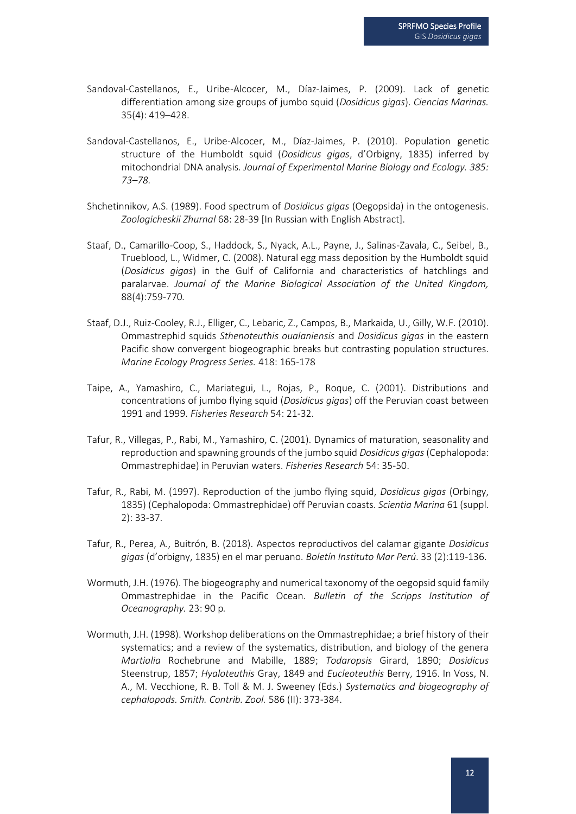- Sandoval-Castellanos, E., Uribe-Alcocer, M., Díaz-Jaimes, P. (2009). Lack of genetic differentiation among size groups of jumbo squid (*Dosidicus gigas*). *Ciencias Marinas.*  35(4): 419–428.
- Sandoval-Castellanos, E., Uribe-Alcocer, M., Díaz-Jaimes, P. (2010). Population genetic structure of the Humboldt squid (*Dosidicus gigas*, d'Orbigny, 1835) inferred by mitochondrial DNA analysis. *Journal of Experimental Marine Biology and Ecology. 385: 73–78.*
- Shchetinnikov, A.S. (1989). Food spectrum of *Dosidicus gigas* (Oegopsida) in the ontogenesis. *Zoologicheskii Zhurnal* 68: 28-39 [In Russian with English Abstract].
- Staaf, D., Camarillo-Coop, S., Haddock, S., Nyack, A.L., Payne, J., Salinas-Zavala, C., Seibel, B., Trueblood, L., Widmer, C. (2008). Natural egg mass deposition by the Humboldt squid (*Dosidicus gigas*) in the Gulf of California and characteristics of hatchlings and paralarvae. *Journal of the Marine Biological Association of the United Kingdom,*  88(4):759-770*.*
- Staaf, D.J., Ruiz-Cooley, R.J., Elliger, C., Lebaric, Z., Campos, B., Markaida, U., Gilly, W.F. (2010). Ommastrephid squids *Sthenoteuthis oualaniensis* and *Dosidicus gigas* in the eastern Pacific show convergent biogeographic breaks but contrasting population structures. *Marine Ecology Progress Series.* 418: 165-178
- Taipe, A., Yamashiro, C., Mariategui, L., Rojas, P., Roque, C. (2001). Distributions and concentrations of jumbo flying squid (*Dosidicus gigas*) off the Peruvian coast between 1991 and 1999. *Fisheries Research* 54: 21-32.
- Tafur, R., Villegas, P., Rabi, M., Yamashiro, C. (2001). Dynamics of maturation, seasonality and reproduction and spawning grounds of the jumbo squid *Dosidicus gigas* (Cephalopoda: Ommastrephidae) in Peruvian waters. *Fisheries Research* 54: 35-50.
- Tafur, R., Rabi, M. (1997). Reproduction of the jumbo flying squid, *Dosidicus gigas* (Orbingy, 1835) (Cephalopoda: Ommastrephidae) off Peruvian coasts. *Scientia Marina* 61 (suppl. 2): 33-37.
- Tafur, R., Perea, A., Buitrón, B. (2018). Aspectos reproductivos del calamar gigante *Dosidicus gigas* (d'orbigny, 1835) en el mar peruano. *Boletín Instituto Mar Perú*. 33 (2):119-136.
- Wormuth, J.H. (1976). The biogeography and numerical taxonomy of the oegopsid squid family Ommastrephidae in the Pacific Ocean. *Bulletin of the Scripps Institution of Oceanography.* 23: 90 p*.*
- Wormuth, J.H. (1998). Workshop deliberations on the Ommastrephidae; a brief history of their systematics; and a review of the systematics, distribution, and biology of the genera *Martialia* Rochebrune and Mabille, 1889; *Todaropsis* Girard, 1890; *Dosidicus* Steenstrup, 1857; *Hyaloteuthis* Gray, 1849 and *Eucleoteuthis* Berry, 1916. In Voss, N. A., M. Vecchione, R. B. Toll & M. J. Sweeney (Eds.) *Systematics and biogeography of cephalopods. Smith. Contrib. Zool.* 586 (II): 373-384.